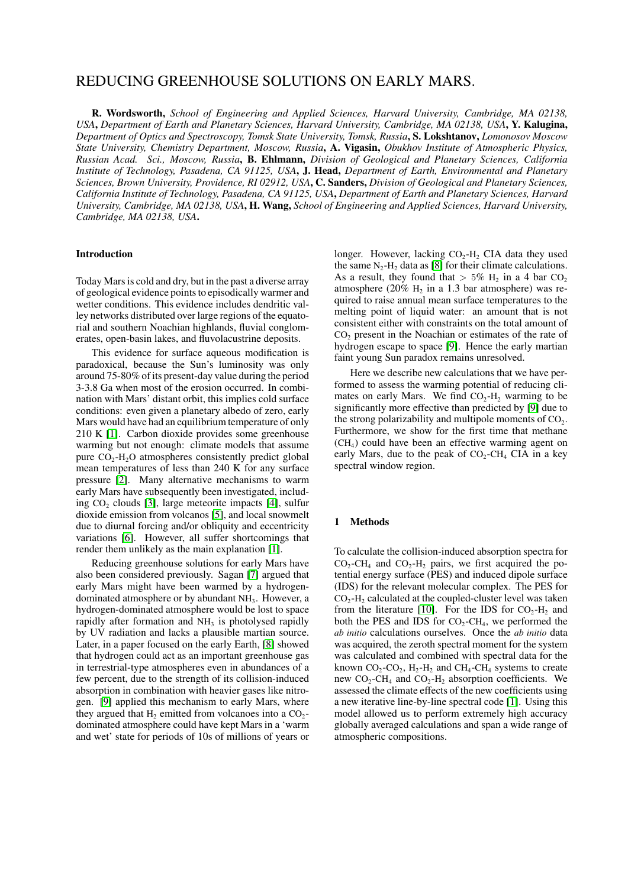# REDUCING GREENHOUSE SOLUTIONS ON EARLY MARS.

R. Wordsworth, *School of Engineering and Applied Sciences, Harvard University, Cambridge, MA 02138, USA*, *Department of Earth and Planetary Sciences, Harvard University, Cambridge, MA 02138, USA*, Y. Kalugina, *Department of Optics and Spectroscopy, Tomsk State University, Tomsk, Russia*, S. Lokshtanov, *Lomonosov Moscow State University, Chemistry Department, Moscow, Russia*, A. Vigasin, *Obukhov Institute of Atmospheric Physics, Russian Acad. Sci., Moscow, Russia*, B. Ehlmann, *Division of Geological and Planetary Sciences, California Institute of Technology, Pasadena, CA 91125, USA*, J. Head, *Department of Earth, Environmental and Planetary Sciences, Brown University, Providence, RI 02912, USA*, C. Sanders, *Division of Geological and Planetary Sciences, California Institute of Technology, Pasadena, CA 91125, USA*, *Department of Earth and Planetary Sciences, Harvard University, Cambridge, MA 02138, USA*, H. Wang, *School of Engineering and Applied Sciences, Harvard University, Cambridge, MA 02138, USA*.

# Introduction

Today Mars is cold and dry, but in the past a diverse array of geological evidence points to episodically warmer and wetter conditions. This evidence includes dendritic valley networks distributed over large regions of the equatorial and southern Noachian highlands, fluvial conglomerates, open-basin lakes, and fluvolacustrine deposits.

This evidence for surface aqueous modification is paradoxical, because the Sun's luminosity was only around 75-80% of its present-day value during the period 3-3.8 Ga when most of the erosion occurred. In combination with Mars' distant orbit, this implies cold surface conditions: even given a planetary albedo of zero, early Mars would have had an equilibrium temperature of only 210 K [\[1\]](#page-2-0). Carbon dioxide provides some greenhouse warming but not enough: climate models that assume pure CO<sub>2</sub>-H<sub>2</sub>O atmospheres consistently predict global mean temperatures of less than 240 K for any surface pressure [\[2\]](#page-2-1). Many alternative mechanisms to warm early Mars have subsequently been investigated, including  $CO<sub>2</sub>$  clouds [\[3\]](#page-2-2), large meteorite impacts [\[4\]](#page-2-3), sulfur dioxide emission from volcanos [\[5\]](#page-2-4), and local snowmelt due to diurnal forcing and/or obliquity and eccentricity variations [\[6\]](#page-2-5). However, all suffer shortcomings that render them unlikely as the main explanation [\[1\]](#page-2-0).

Reducing greenhouse solutions for early Mars have also been considered previously. Sagan [\[7\]](#page-2-6) argued that early Mars might have been warmed by a hydrogendominated atmosphere or by abundant NH<sub>3</sub>. However, a hydrogen-dominated atmosphere would be lost to space rapidly after formation and  $NH<sub>3</sub>$  is photolysed rapidly by UV radiation and lacks a plausible martian source. Later, in a paper focused on the early Earth, [\[8\]](#page-2-7) showed that hydrogen could act as an important greenhouse gas in terrestrial-type atmospheres even in abundances of a few percent, due to the strength of its collision-induced absorption in combination with heavier gases like nitrogen. [\[9\]](#page-2-8) applied this mechanism to early Mars, where they argued that  $H_2$  emitted from volcanoes into a  $CO_2$ dominated atmosphere could have kept Mars in a 'warm and wet' state for periods of 10s of millions of years or

longer. However, lacking  $CO<sub>2</sub>-H<sub>2</sub>$  CIA data they used the same  $N_2$ -H<sub>2</sub> data as [\[8\]](#page-2-7) for their climate calculations. As a result, they found that  $> 5\%$  H<sub>2</sub> in a 4 bar CO<sub>2</sub> atmosphere (20%  $H_2$  in a 1.3 bar atmosphere) was required to raise annual mean surface temperatures to the melting point of liquid water: an amount that is not consistent either with constraints on the total amount of CO<sub>2</sub> present in the Noachian or estimates of the rate of hydrogen escape to space [\[9\]](#page-2-8). Hence the early martian faint young Sun paradox remains unresolved.

Here we describe new calculations that we have performed to assess the warming potential of reducing climates on early Mars. We find  $CO<sub>2</sub>-H<sub>2</sub>$  warming to be significantly more effective than predicted by [\[9\]](#page-2-8) due to the strong polarizability and multipole moments of  $CO<sub>2</sub>$ . Furthermore, we show for the first time that methane (CH<sup>4</sup> ) could have been an effective warming agent on early Mars, due to the peak of  $CO<sub>2</sub>-CH<sub>4</sub>  $CIA$  in a key$ spectral window region.

### 1 Methods

To calculate the collision-induced absorption spectra for  $CO_2$ -CH<sub>4</sub> and  $CO_2$ -H<sub>2</sub> pairs, we first acquired the potential energy surface (PES) and induced dipole surface (IDS) for the relevant molecular complex. The PES for  $CO<sub>2</sub>$ -H<sub>2</sub> calculated at the coupled-cluster level was taken from the literature [\[10\]](#page-2-9). For the IDS for  $CO_2-H_2$  and both the PES and IDS for  $CO_2$ -CH<sub>4</sub>, we performed the *ab initio* calculations ourselves. Once the *ab initio* data was acquired, the zeroth spectral moment for the system was calculated and combined with spectral data for the known  $CO_2$ - $CO_2$ ,  $H_2$ - $H_2$  and  $CH_4$ - $CH_4$  systems to create new  $CO_2$ -CH<sub>4</sub> and  $CO_2$ -H<sub>2</sub> absorption coefficients. We assessed the climate effects of the new coefficients using a new iterative line-by-line spectral code [\[1\]](#page-2-0). Using this model allowed us to perform extremely high accuracy globally averaged calculations and span a wide range of atmospheric compositions.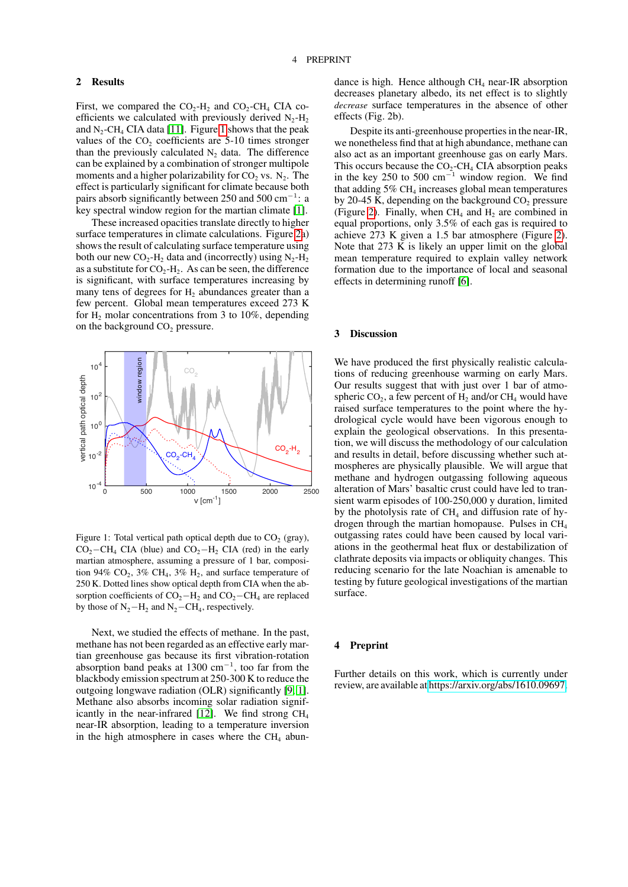#### 2 Results

First, we compared the  $CO_2-H_2$  and  $CO_2-CH_4$  CIA coefficients we calculated with previously derived  $N_2$ -H<sub>2</sub> and  $N_2$ -CH<sub>4</sub> CIA data [\[11\]](#page-2-10). Figure [1](#page-1-0) shows that the peak values of the  $CO<sub>2</sub>$  coefficients are 5-10 times stronger than the previously calculated  $N_2$  data. The difference can be explained by a combination of stronger multipole moments and a higher polarizability for  $CO_2$  vs.  $N_2$ . The effect is particularly significant for climate because both pairs absorb significantly between 250 and 500 cm<sup>-1</sup>: a key spectral window region for the martian climate [\[1\]](#page-2-0).

These increased opacities translate directly to higher surface temperatures in climate calculations. Figure [2a](#page-3-0)) shows the result of calculating surface temperature using both our new  $CO_2$ -H<sub>2</sub> data and (incorrectly) using  $N_2$ -H<sub>2</sub> as a substitute for  $CO_2-H_2$ . As can be seen, the difference is significant, with surface temperatures increasing by many tens of degrees for  $H<sub>2</sub>$  abundances greater than a few percent. Global mean temperatures exceed 273 K for  $H_2$  molar concentrations from 3 to 10%, depending on the background  $CO<sub>2</sub>$  pressure.



<span id="page-1-0"></span>Figure 1: Total vertical path optical depth due to  $CO<sub>2</sub>$  (gray),  $CO<sub>2</sub>$ −CH<sub>4</sub> CIA (blue) and CO<sub>2</sub>−H<sub>2</sub> CIA (red) in the early martian atmosphere, assuming a pressure of 1 bar, composition 94%  $CO_2$ , 3%  $CH_4$ , 3%  $H_2$ , and surface temperature of 250 K. Dotted lines show optical depth from CIA when the absorption coefficients of  $CO<sub>2</sub>–H<sub>2</sub>$  and  $CO<sub>2</sub>–CH<sub>4</sub>$  are replaced by those of  $N_2-H_2$  and  $N_2-CH_4$ , respectively.

Next, we studied the effects of methane. In the past, methane has not been regarded as an effective early martian greenhouse gas because its first vibration-rotation absorption band peaks at  $1300 \text{ cm}^{-1}$ , too far from the blackbody emission spectrum at 250-300 K to reduce the outgoing longwave radiation (OLR) significantly [\[9,](#page-2-8) [1\]](#page-2-0). Methane also absorbs incoming solar radiation signif-icantly in the near-infrared [\[12\]](#page-2-11). We find strong  $CH<sub>4</sub>$ near-IR absorption, leading to a temperature inversion in the high atmosphere in cases where the  $CH<sub>4</sub>$  abundance is high. Hence although  $CH<sub>4</sub>$  near-IR absorption decreases planetary albedo, its net effect is to slightly *decrease* surface temperatures in the absence of other effects (Fig. 2b).

Despite its anti-greenhouse properties in the near-IR, we nonetheless find that at high abundance, methane can also act as an important greenhouse gas on early Mars. This occurs because the  $CO<sub>2</sub>-CH<sub>4</sub> CIA absorption peaks$ in the key 250 to 500 cm<sup>−</sup><sup>1</sup> window region. We find that adding  $5\%$  CH<sub>4</sub> increases global mean temperatures by 20-45 K, depending on the background  $CO<sub>2</sub>$  pressure (Figure [2\)](#page-3-0). Finally, when  $CH_4$  and  $H_2$  are combined in equal proportions, only 3.5% of each gas is required to achieve 273 K given a 1.5 bar atmosphere (Figure [2\)](#page-3-0). Note that 273 K is likely an upper limit on the global mean temperature required to explain valley network formation due to the importance of local and seasonal effects in determining runoff [\[6\]](#page-2-5).

## 3 Discussion

We have produced the first physically realistic calculations of reducing greenhouse warming on early Mars. Our results suggest that with just over 1 bar of atmospheric  $CO_2$ , a few percent of  $H_2$  and/or  $CH_4$  would have raised surface temperatures to the point where the hydrological cycle would have been vigorous enough to explain the geological observations. In this presentation, we will discuss the methodology of our calculation and results in detail, before discussing whether such atmospheres are physically plausible. We will argue that methane and hydrogen outgassing following aqueous alteration of Mars' basaltic crust could have led to transient warm episodes of 100-250,000 y duration, limited by the photolysis rate of  $CH<sub>4</sub>$  and diffusion rate of hydrogen through the martian homopause. Pulses in CH<sup>4</sup> outgassing rates could have been caused by local variations in the geothermal heat flux or destabilization of clathrate deposits via impacts or obliquity changes. This reducing scenario for the late Noachian is amenable to testing by future geological investigations of the martian surface.

#### **Preprint**

Further details on this work, which is currently under review, are available at [https://arxiv.org/abs/1610.09697.](https://arxiv.org/abs/1610.09697)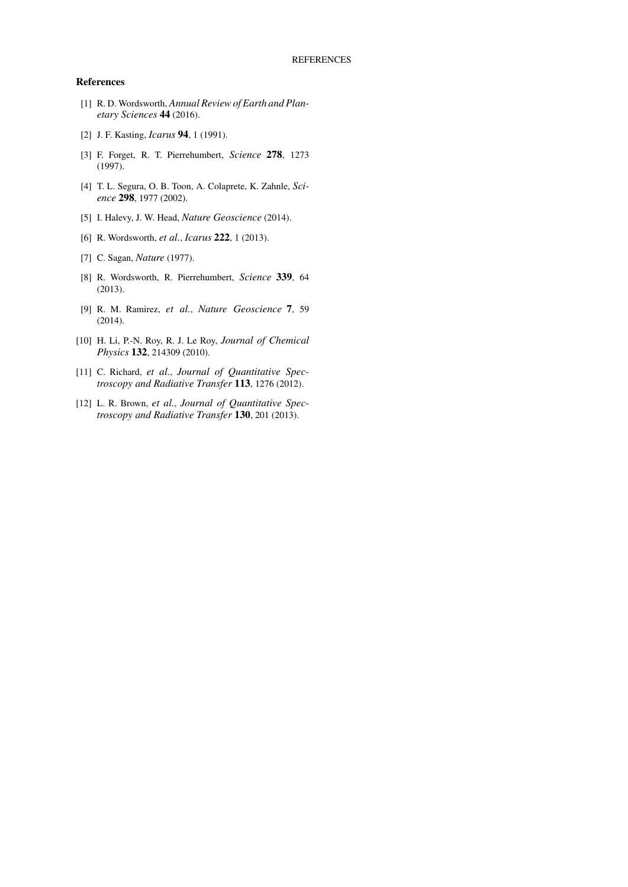## References

- <span id="page-2-0"></span>[1] R. D. Wordsworth, *Annual Review of Earth and Planetary Sciences* 44 (2016).
- <span id="page-2-1"></span>[2] J. F. Kasting, *Icarus* 94, 1 (1991).
- <span id="page-2-2"></span>[3] F. Forget, R. T. Pierrehumbert, *Science* 278, 1273 (1997).
- <span id="page-2-3"></span>[4] T. L. Segura, O. B. Toon, A. Colaprete, K. Zahnle, *Science* 298, 1977 (2002).
- <span id="page-2-4"></span>[5] I. Halevy, J. W. Head, *Nature Geoscience* (2014).
- <span id="page-2-5"></span>[6] R. Wordsworth, *et al.*, *Icarus* 222, 1 (2013).
- <span id="page-2-6"></span>[7] C. Sagan, *Nature* (1977).
- <span id="page-2-7"></span>[8] R. Wordsworth, R. Pierrehumbert, *Science* 339, 64 (2013).
- <span id="page-2-8"></span>[9] R. M. Ramirez, *et al.*, *Nature Geoscience* 7, 59 (2014).
- <span id="page-2-9"></span>[10] H. Li, P.-N. Roy, R. J. Le Roy, *Journal of Chemical Physics* 132, 214309 (2010).
- <span id="page-2-10"></span>[11] C. Richard, *et al.*, *Journal of Quantitative Spectroscopy and Radiative Transfer* 113, 1276 (2012).
- <span id="page-2-11"></span>[12] L. R. Brown, *et al.*, *Journal of Quantitative Spectroscopy and Radiative Transfer* 130, 201 (2013).